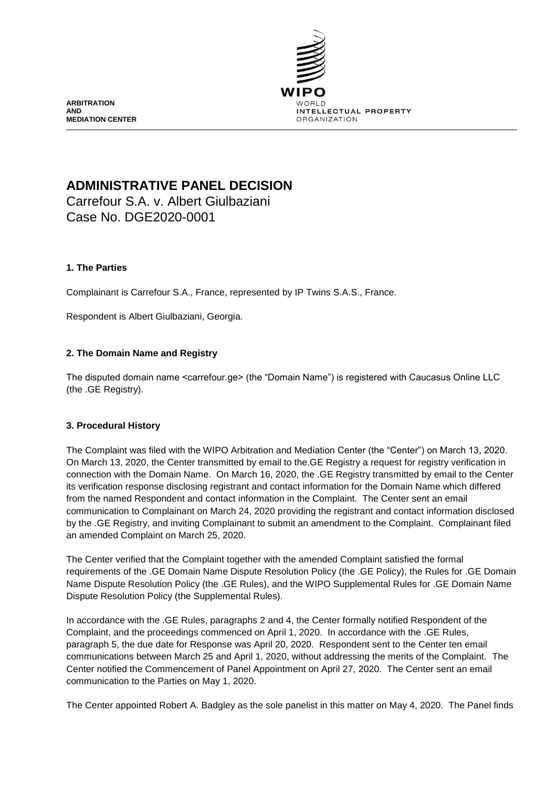

**ARBITRATION AND MEDIATION CENTER**

# **ADMINISTRATIVE PANEL DECISION**

Carrefour S.A. v. Albert Giulbaziani Case No. DGE2020-0001

# **1. The Parties**

Complainant is Carrefour S.A., France, represented by IP Twins S.A.S., France.

Respondent is Albert Giulbaziani, Georgia.

## **2. The Domain Name and Registry**

The disputed domain name <carrefour.ge> (the "Domain Name") is registered with Caucasus Online LLC (the .GE Registry).

#### **3. Procedural History**

The Complaint was filed with the WIPO Arbitration and Mediation Center (the "Center") on March 13, 2020. On March 13, 2020, the Center transmitted by email to the.GE Registry a request for registry verification in connection with the Domain Name. On March 16, 2020, the .GE Registry transmitted by email to the Center its verification response disclosing registrant and contact information for the Domain Name which differed from the named Respondent and contact information in the Complaint. The Center sent an email communication to Complainant on March 24, 2020 providing the registrant and contact information disclosed by the .GE Registry, and inviting Complainant to submit an amendment to the Complaint. Complainant filed an amended Complaint on March 25, 2020.

The Center verified that the Complaint together with the amended Complaint satisfied the formal requirements of the .GE Domain Name Dispute Resolution Policy (the .GE Policy), the Rules for .GE Domain Name Dispute Resolution Policy (the .GE Rules), and the WIPO Supplemental Rules for .GE Domain Name Dispute Resolution Policy (the Supplemental Rules).

In accordance with the .GE Rules, paragraphs 2 and 4, the Center formally notified Respondent of the Complaint, and the proceedings commenced on April 1, 2020. In accordance with the .GE Rules, paragraph 5, the due date for Response was April 20, 2020. Respondent sent to the Center ten email communications between March 25 and April 1, 2020, without addressing the merits of the Complaint. The Center notified the Commencement of Panel Appointment on April 27, 2020. The Center sent an email communication to the Parties on May 1, 2020.

The Center appointed Robert A. Badgley as the sole panelist in this matter on May 4, 2020. The Panel finds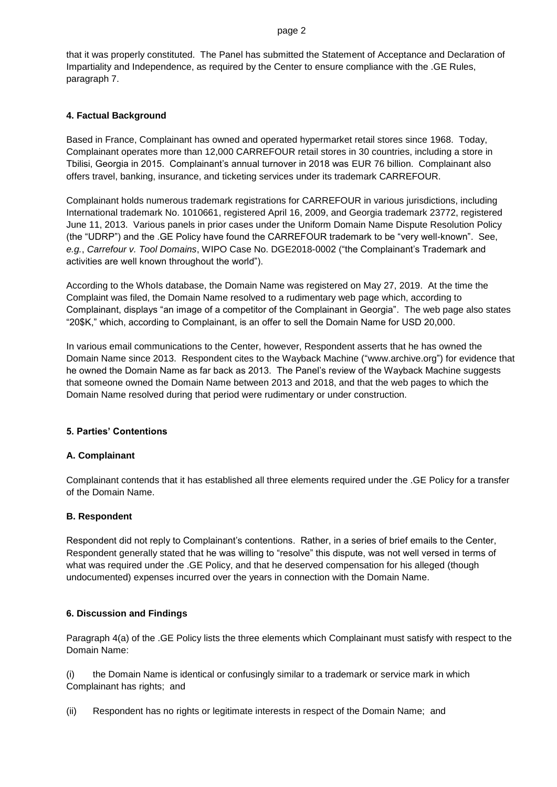#### page 2

that it was properly constituted. The Panel has submitted the Statement of Acceptance and Declaration of Impartiality and Independence, as required by the Center to ensure compliance with the .GE Rules, paragraph 7.

## **4. Factual Background**

Based in France, Complainant has owned and operated hypermarket retail stores since 1968. Today, Complainant operates more than 12,000 CARREFOUR retail stores in 30 countries, including a store in Tbilisi, Georgia in 2015. Complainant's annual turnover in 2018 was EUR 76 billion. Complainant also offers travel, banking, insurance, and ticketing services under its trademark CARREFOUR.

Complainant holds numerous trademark registrations for CARREFOUR in various jurisdictions, including International trademark No. 1010661, registered April 16, 2009, and Georgia trademark 23772, registered June 11, 2013. Various panels in prior cases under the Uniform Domain Name Dispute Resolution Policy (the "UDRP") and the .GE Policy have found the CARREFOUR trademark to be "very well-known". See, *e.g.*, *Carrefour v. Tool Domains*, WIPO Case No. DGE2018-0002 ("the Complainant's Trademark and activities are well known throughout the world").

According to the WhoIs database, the Domain Name was registered on May 27, 2019. At the time the Complaint was filed, the Domain Name resolved to a rudimentary web page which, according to Complainant, displays "an image of a competitor of the Complainant in Georgia". The web page also states "20\$K," which, according to Complainant, is an offer to sell the Domain Name for USD 20,000.

In various email communications to the Center, however, Respondent asserts that he has owned the Domain Name since 2013. Respondent cites to the Wayback Machine ("www.archive.org") for evidence that he owned the Domain Name as far back as 2013. The Panel's review of the Wayback Machine suggests that someone owned the Domain Name between 2013 and 2018, and that the web pages to which the Domain Name resolved during that period were rudimentary or under construction.

#### **5. Parties' Contentions**

#### **A. Complainant**

Complainant contends that it has established all three elements required under the .GE Policy for a transfer of the Domain Name.

#### **B. Respondent**

Respondent did not reply to Complainant's contentions. Rather, in a series of brief emails to the Center, Respondent generally stated that he was willing to "resolve" this dispute, was not well versed in terms of what was required under the .GE Policy, and that he deserved compensation for his alleged (though undocumented) expenses incurred over the years in connection with the Domain Name.

#### **6. Discussion and Findings**

Paragraph 4(a) of the .GE Policy lists the three elements which Complainant must satisfy with respect to the Domain Name:

(i) the Domain Name is identical or confusingly similar to a trademark or service mark in which Complainant has rights; and

(ii) Respondent has no rights or legitimate interests in respect of the Domain Name; and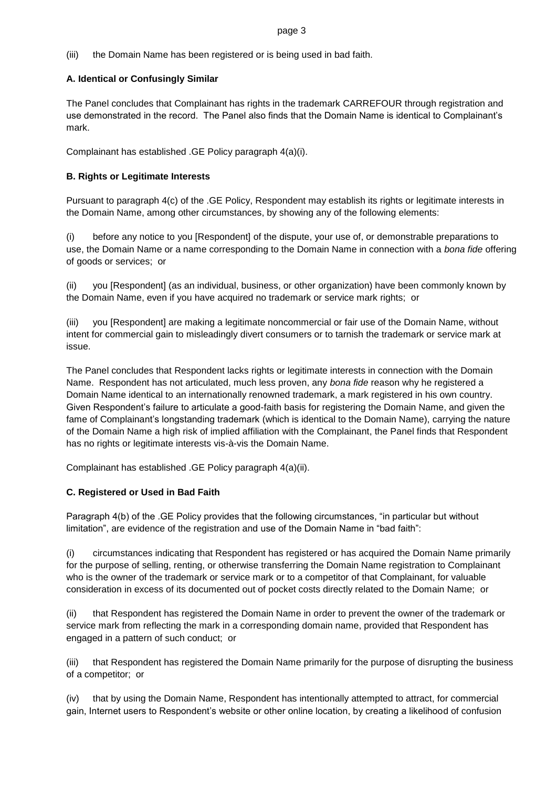#### page 3

(iii) the Domain Name has been registered or is being used in bad faith.

# **A. Identical or Confusingly Similar**

The Panel concludes that Complainant has rights in the trademark CARREFOUR through registration and use demonstrated in the record. The Panel also finds that the Domain Name is identical to Complainant's mark.

Complainant has established .GE Policy paragraph 4(a)(i).

## **B. Rights or Legitimate Interests**

Pursuant to paragraph 4(c) of the .GE Policy, Respondent may establish its rights or legitimate interests in the Domain Name, among other circumstances, by showing any of the following elements:

(i) before any notice to you [Respondent] of the dispute, your use of, or demonstrable preparations to use, the Domain Name or a name corresponding to the Domain Name in connection with a *bona fide* offering of goods or services; or

(ii) you [Respondent] (as an individual, business, or other organization) have been commonly known by the Domain Name, even if you have acquired no trademark or service mark rights; or

(iii) you [Respondent] are making a legitimate noncommercial or fair use of the Domain Name, without intent for commercial gain to misleadingly divert consumers or to tarnish the trademark or service mark at issue.

The Panel concludes that Respondent lacks rights or legitimate interests in connection with the Domain Name. Respondent has not articulated, much less proven, any *bona fide* reason why he registered a Domain Name identical to an internationally renowned trademark, a mark registered in his own country. Given Respondent's failure to articulate a good-faith basis for registering the Domain Name, and given the fame of Complainant's longstanding trademark (which is identical to the Domain Name), carrying the nature of the Domain Name a high risk of implied affiliation with the Complainant, the Panel finds that Respondent has no rights or legitimate interests vis-à-vis the Domain Name.

Complainant has established .GE Policy paragraph 4(a)(ii).

# **C. Registered or Used in Bad Faith**

Paragraph 4(b) of the .GE Policy provides that the following circumstances, "in particular but without limitation", are evidence of the registration and use of the Domain Name in "bad faith":

(i) circumstances indicating that Respondent has registered or has acquired the Domain Name primarily for the purpose of selling, renting, or otherwise transferring the Domain Name registration to Complainant who is the owner of the trademark or service mark or to a competitor of that Complainant, for valuable consideration in excess of its documented out of pocket costs directly related to the Domain Name; or

(ii) that Respondent has registered the Domain Name in order to prevent the owner of the trademark or service mark from reflecting the mark in a corresponding domain name, provided that Respondent has engaged in a pattern of such conduct; or

(iii) that Respondent has registered the Domain Name primarily for the purpose of disrupting the business of a competitor; or

(iv) that by using the Domain Name, Respondent has intentionally attempted to attract, for commercial gain, Internet users to Respondent's website or other online location, by creating a likelihood of confusion